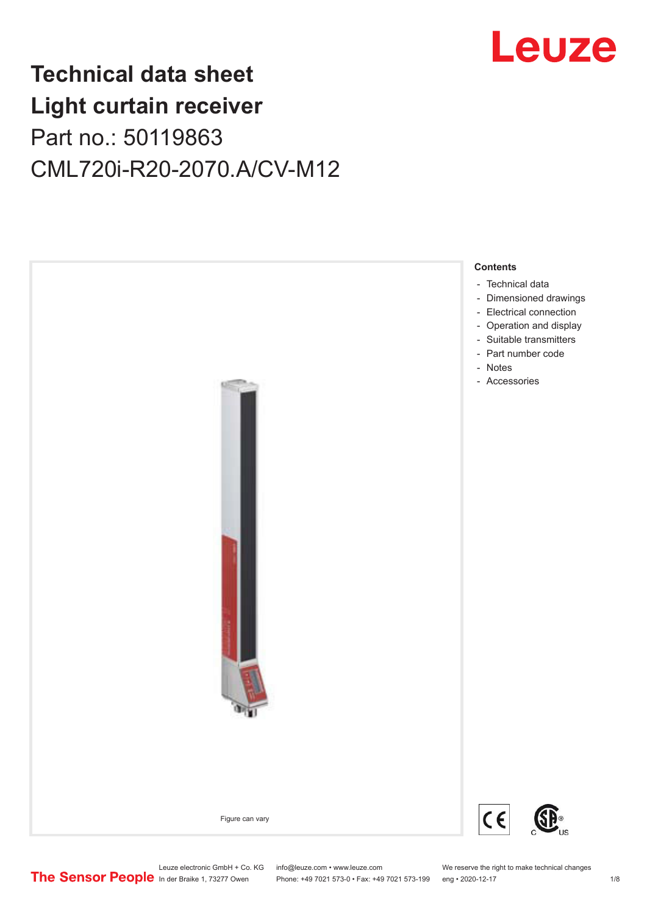

## **Technical data sheet Light curtain receiver** Part no.: 50119863 CML720i-R20-2070.A/CV-M12



Leuze electronic GmbH + Co. KG info@leuze.com • www.leuze.com We reserve the right to make technical changes<br>
The Sensor People in der Braike 1, 73277 Owen Phone: +49 7021 573-0 • Fax: +49 7021 573-199 eng • 2020-12-17

Phone: +49 7021 573-0 • Fax: +49 7021 573-199 eng • 2020-12-17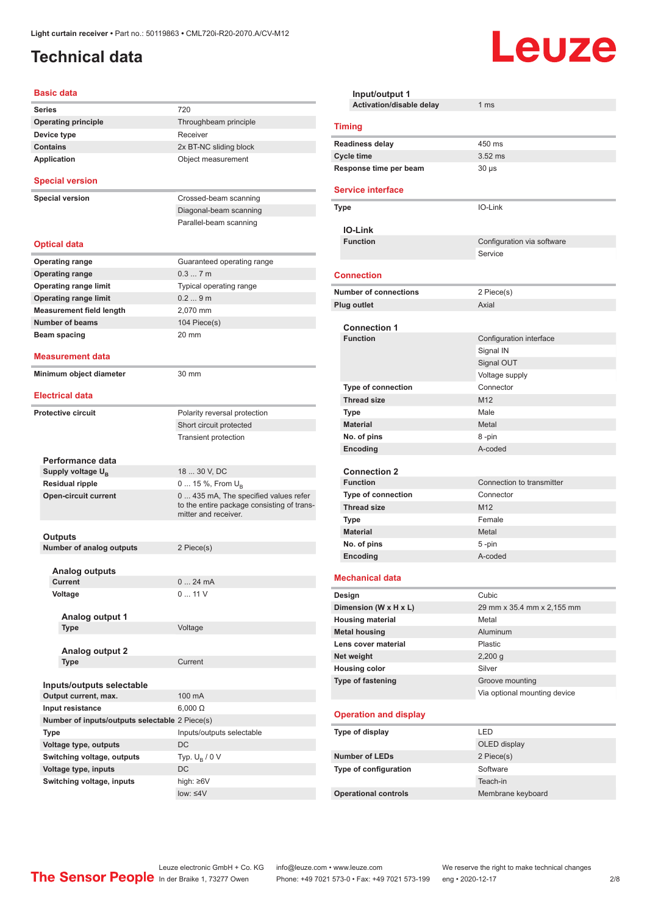## <span id="page-1-0"></span>**Technical data**

#### **Basic data**

| Series                                         | 720                                                                                                         |
|------------------------------------------------|-------------------------------------------------------------------------------------------------------------|
| <b>Operating principle</b>                     | Throughbeam principle                                                                                       |
| Device type                                    | Receiver                                                                                                    |
| <b>Contains</b>                                | 2x BT-NC sliding block                                                                                      |
| Application                                    | Object measurement                                                                                          |
|                                                |                                                                                                             |
| <b>Special version</b>                         |                                                                                                             |
| <b>Special version</b>                         | Crossed-beam scanning                                                                                       |
|                                                | Diagonal-beam scanning                                                                                      |
|                                                | Parallel-beam scanning                                                                                      |
|                                                |                                                                                                             |
| <b>Optical data</b>                            |                                                                                                             |
| <b>Operating range</b>                         | Guaranteed operating range                                                                                  |
| <b>Operating range</b>                         | 0.37m                                                                                                       |
| <b>Operating range limit</b>                   | Typical operating range                                                                                     |
| <b>Operating range limit</b>                   | 0.29m                                                                                                       |
| <b>Measurement field length</b>                | 2,070 mm                                                                                                    |
| <b>Number of beams</b>                         | 104 Piece(s)                                                                                                |
| Beam spacing                                   | 20 mm                                                                                                       |
|                                                |                                                                                                             |
| <b>Measurement data</b>                        |                                                                                                             |
| Minimum object diameter                        | 30 mm                                                                                                       |
|                                                |                                                                                                             |
| <b>Electrical data</b>                         |                                                                                                             |
| <b>Protective circuit</b>                      | Polarity reversal protection                                                                                |
|                                                | Short circuit protected                                                                                     |
|                                                | <b>Transient protection</b>                                                                                 |
|                                                |                                                                                                             |
| Performance data                               |                                                                                                             |
| Supply voltage $U_{\rm B}$                     | 18  30 V, DC                                                                                                |
| Residual ripple                                | 0  15 %, From $U_{\rm B}$                                                                                   |
| <b>Open-circuit current</b>                    | 0  435 mA, The specified values refer<br>to the entire package consisting of trans-<br>mitter and receiver. |
|                                                |                                                                                                             |
| Outputs                                        |                                                                                                             |
| <b>Number of analog outputs</b>                | 2 Piece(s)                                                                                                  |
|                                                |                                                                                                             |
| <b>Analog outputs</b>                          |                                                                                                             |
| Current                                        | 024mA                                                                                                       |
| Voltage                                        | 011V                                                                                                        |
| Analog output 1                                |                                                                                                             |
| Type                                           | Voltage                                                                                                     |
|                                                |                                                                                                             |
| <b>Analog output 2</b>                         |                                                                                                             |
| <b>Type</b>                                    | Current                                                                                                     |
|                                                |                                                                                                             |
| Inputs/outputs selectable                      |                                                                                                             |
| Output current, max.                           | 100 mA                                                                                                      |
| Input resistance                               | $6,000 \Omega$                                                                                              |
| Number of inputs/outputs selectable 2 Piece(s) |                                                                                                             |
| <b>Type</b>                                    | Inputs/outputs selectable                                                                                   |
| Voltage type, outputs                          | DC                                                                                                          |
| Switching voltage, outputs                     | Typ. $U_R / 0 V$                                                                                            |
| Voltage type, inputs                           | DC                                                                                                          |
| Switching voltage, inputs                      | high: ≥6V                                                                                                   |
|                                                | low: $\leq 4V$                                                                                              |
|                                                |                                                                                                             |

| Input/output 1                         |                                                 |  |
|----------------------------------------|-------------------------------------------------|--|
| Activation/disable delay               | 1 <sub>ms</sub>                                 |  |
| <b>Timing</b>                          |                                                 |  |
| <b>Readiness delay</b>                 | 450 ms                                          |  |
| <b>Cycle time</b>                      | $3.52$ ms                                       |  |
| Response time per beam                 | $30 \mu s$                                      |  |
| <b>Service interface</b>               |                                                 |  |
| <b>Type</b>                            | IO-Link                                         |  |
| <b>IO-Link</b>                         |                                                 |  |
| <b>Function</b>                        | Configuration via software                      |  |
|                                        | Service                                         |  |
| <b>Connection</b>                      |                                                 |  |
| <b>Number of connections</b>           | 2 Piece(s)                                      |  |
| <b>Plug outlet</b>                     | Axial                                           |  |
|                                        |                                                 |  |
| <b>Connection 1</b><br><b>Function</b> | Configuration interface                         |  |
|                                        | Signal IN                                       |  |
|                                        | Signal OUT                                      |  |
|                                        | Voltage supply                                  |  |
| <b>Type of connection</b>              | Connector                                       |  |
| <b>Thread size</b>                     | M <sub>12</sub>                                 |  |
| Type                                   | Male                                            |  |
| <b>Material</b>                        | Metal                                           |  |
| No. of pins                            | 8-pin                                           |  |
| Encoding                               | A-coded                                         |  |
|                                        |                                                 |  |
| <b>Connection 2</b>                    |                                                 |  |
| <b>Function</b>                        | Connection to transmitter                       |  |
| <b>Type of connection</b>              | Connector                                       |  |
| <b>Thread size</b>                     | M <sub>12</sub>                                 |  |
| Type                                   | Female                                          |  |
| <b>Material</b><br>No. of pins         | Metal<br>5-pin                                  |  |
| Encoding                               | A-coded                                         |  |
|                                        |                                                 |  |
| <b>Mechanical data</b>                 |                                                 |  |
| Design                                 | Cubic                                           |  |
| Dimension (W x H x L)                  | 29 mm x 35.4 mm x 2,155 mm                      |  |
| <b>Housing material</b>                | Metal                                           |  |
| <b>Metal housing</b>                   | Aluminum                                        |  |
| Lens cover material                    | Plastic                                         |  |
| Net weight                             | $2,200$ g                                       |  |
| <b>Housing color</b>                   | Silver                                          |  |
| Type of fastening                      | Groove mounting<br>Via optional mounting device |  |
| <b>Operation and display</b>           |                                                 |  |
|                                        |                                                 |  |
| Type of display                        | LED                                             |  |
| <b>Number of LEDs</b>                  | OLED display<br>2 Piece(s)                      |  |
| Type of configuration                  | Software                                        |  |
|                                        | Teach-in                                        |  |
| <b>Operational controls</b>            | Membrane keyboard                               |  |

Leuze

Leuze electronic GmbH + Co. KG info@leuze.com • www.leuze.com We reserve the right to make technical changes ln der Braike 1, 73277 Owen Phone: +49 7021 573-0 • Fax: +49 7021 573-199 eng • 2020-12-17 2/8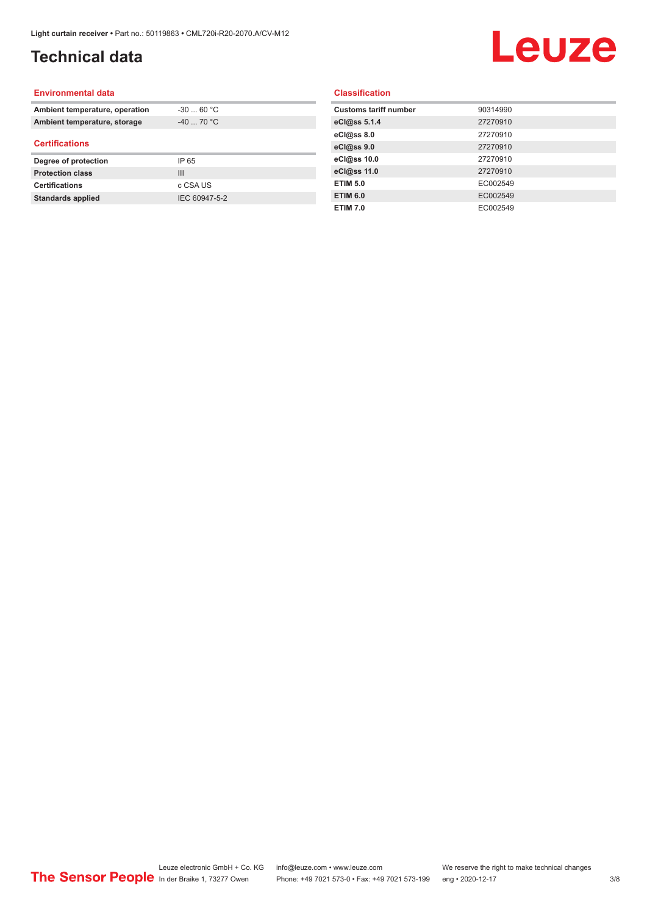## **Technical data**

# Leuze

#### **Environmental data**

| Ambient temperature, operation | $-30$ 60 °C    |  |
|--------------------------------|----------------|--|
| Ambient temperature, storage   | $-40$ 70 °C    |  |
| <b>Certifications</b>          |                |  |
| Degree of protection           | IP 65          |  |
| <b>Protection class</b>        | $\mathbf{III}$ |  |
| <b>Certifications</b>          | c CSA US       |  |
| <b>Standards applied</b>       | IEC 60947-5-2  |  |

#### **Classification**

| <b>Customs tariff number</b> | 90314990 |
|------------------------------|----------|
| eCl@ss 5.1.4                 | 27270910 |
| eCl@ss 8.0                   | 27270910 |
| eCl@ss 9.0                   | 27270910 |
| eCl@ss 10.0                  | 27270910 |
| eCl@ss 11.0                  | 27270910 |
| <b>ETIM 5.0</b>              | EC002549 |
| <b>ETIM 6.0</b>              | EC002549 |
| <b>ETIM 7.0</b>              | EC002549 |
|                              |          |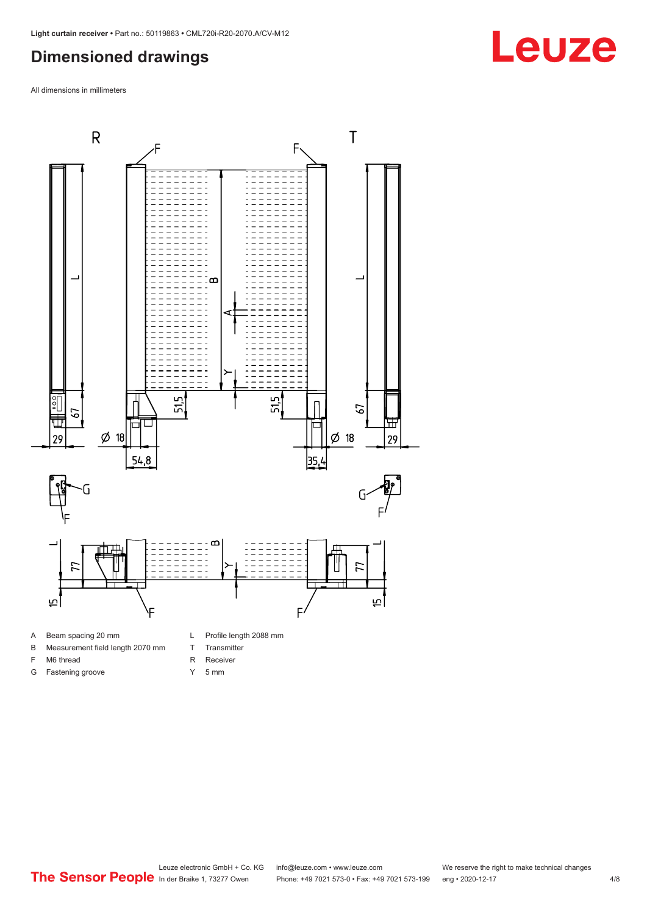#### <span id="page-3-0"></span>**Dimensioned drawings**

All dimensions in millimeters



- A Beam spacing 20 mm
- B Measurement field length 2070 mm
- F M6 thread
- G Fastening groove
- 
- T Transmitter
- R Receiver
- Y 5 mm

**Leuze**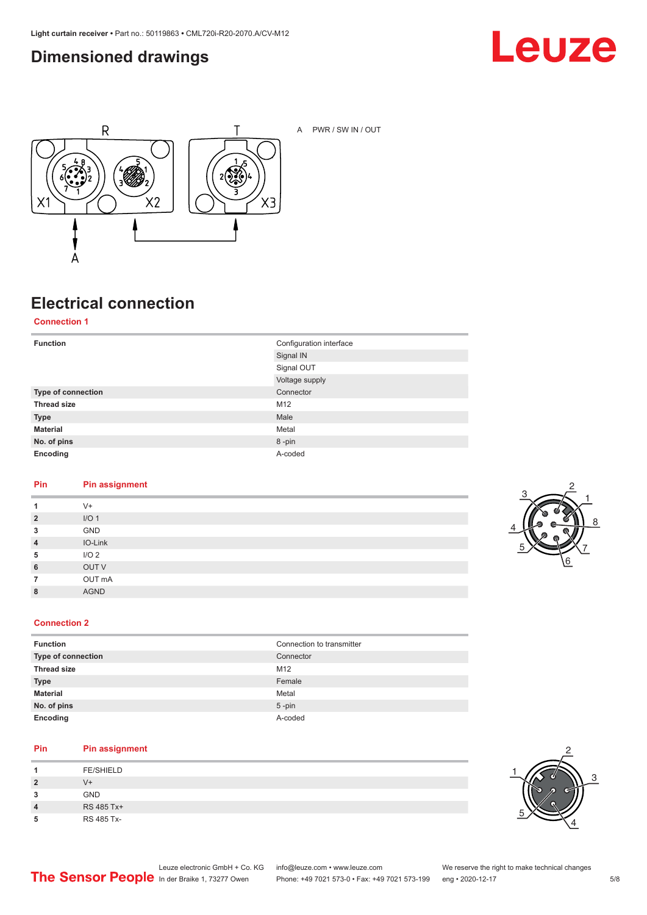### <span id="page-4-0"></span>**Dimensioned drawings**





A PWR / SW IN / OUT

## **Electrical connection**

**Connection 1**

| <b>Function</b>    | Configuration interface<br>Signal IN |
|--------------------|--------------------------------------|
|                    | Signal OUT                           |
|                    | Voltage supply                       |
| Type of connection | Connector                            |
| <b>Thread size</b> | M12                                  |
| <b>Type</b>        | Male                                 |
| <b>Material</b>    | Metal                                |
| No. of pins        | 8-pin                                |
| Encoding           | A-coded                              |

#### **Pin Pin assignment**

| 1              | $V +$            |
|----------------|------------------|
| $\overline{2}$ | I/O <sub>1</sub> |
| 3              | GND              |
| $\overline{4}$ | IO-Link          |
| 5              | I/O <sub>2</sub> |
| 6              | OUT V            |
| $\overline{7}$ | OUT mA           |
| 8              | <b>AGND</b>      |
|                |                  |



#### **Connection 2**

| <b>Function</b>    | Connection to transmitter |
|--------------------|---------------------------|
| Type of connection | Connector                 |
| <b>Thread size</b> | M12                       |
| <b>Type</b>        | Female                    |
| <b>Material</b>    | Metal                     |
| No. of pins        | $5$ -pin                  |
| Encoding           | A-coded                   |

#### **Pin Pin assignment**

| л              | <b>FE/SHIELD</b> |
|----------------|------------------|
| $\overline{2}$ | V+               |
| 3              | <b>GND</b>       |
| 4              | RS 485 Tx+       |
| 5              | RS 485 Tx-       |

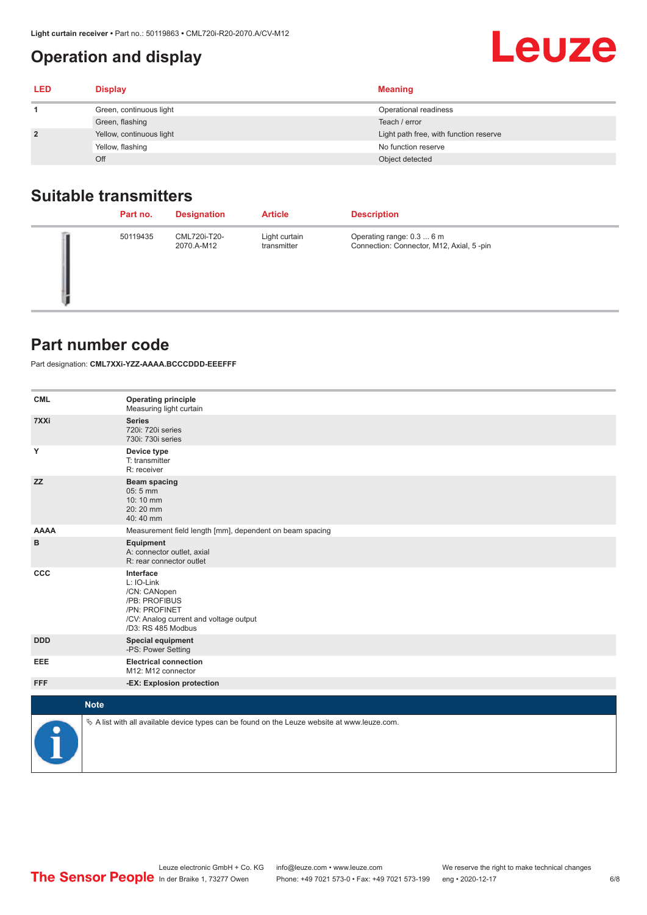## <span id="page-5-0"></span>**Operation and display**

| <b>LED</b> | <b>Display</b>           | <b>Meaning</b>                         |
|------------|--------------------------|----------------------------------------|
|            | Green, continuous light  | Operational readiness                  |
|            | Green, flashing          | Teach / error                          |
|            | Yellow, continuous light | Light path free, with function reserve |
|            | Yellow, flashing         | No function reserve                    |
|            | Off                      | Object detected                        |

#### **Suitable transmitters**

| Part no. | <b>Designation</b>         | <b>Article</b>               | <b>Description</b>                                                    |
|----------|----------------------------|------------------------------|-----------------------------------------------------------------------|
| 50119435 | CML720i-T20-<br>2070.A-M12 | Light curtain<br>transmitter | Operating range: 0.3  6 m<br>Connection: Connector, M12, Axial, 5-pin |

#### **Part number code**

Part designation: **CML7XXi-YZZ-AAAA.BCCCDDD-EEEFFF**

| <b>CML</b>           | <b>Operating principle</b><br>Measuring light curtain                                                                                     |
|----------------------|-------------------------------------------------------------------------------------------------------------------------------------------|
| 7XXi                 | <b>Series</b><br>720i: 720i series<br>730i: 730i series                                                                                   |
| Y                    | Device type<br>T: transmitter<br>R: receiver                                                                                              |
| <b>ZZ</b>            | <b>Beam spacing</b><br>05:5 mm<br>10:10 mm<br>20:20 mm<br>40:40 mm                                                                        |
| <b>AAAA</b>          | Measurement field length [mm], dependent on beam spacing                                                                                  |
| в                    | Equipment<br>A: connector outlet, axial<br>R: rear connector outlet                                                                       |
| CCC                  | Interface<br>L: IO-Link<br>/CN: CANopen<br>/PB: PROFIBUS<br>/PN: PROFINET<br>/CV: Analog current and voltage output<br>/D3: RS 485 Modbus |
| <b>DDD</b>           | <b>Special equipment</b><br>-PS: Power Setting                                                                                            |
| <b>EEE</b>           | <b>Electrical connection</b><br>M12: M12 connector                                                                                        |
| <b>FFF</b>           | -EX: Explosion protection                                                                                                                 |
| <b>Note</b>          |                                                                                                                                           |
|                      |                                                                                                                                           |
| $\ddot{\phantom{a}}$ | $\&$ A list with all available device types can be found on the Leuze website at www.leuze.com.                                           |

Leuze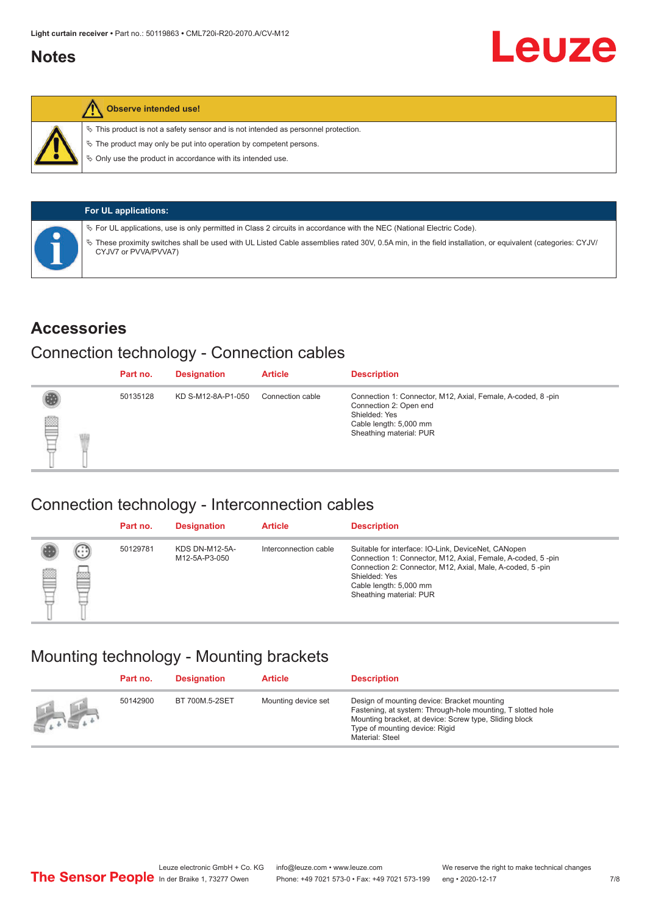#### <span id="page-6-0"></span>**Notes**



#### **Observe intended use!**

 $\%$  This product is not a safety sensor and is not intended as personnel protection.

 $\%$  The product may only be put into operation by competent persons.

 $\%$  Only use the product in accordance with its intended use.

| <b>For UL applications:</b>                                                                                                                                                       |
|-----------------------------------------------------------------------------------------------------------------------------------------------------------------------------------|
| $\%$ For UL applications, use is only permitted in Class 2 circuits in accordance with the NEC (National Electric Code).                                                          |
| V These proximity switches shall be used with UL Listed Cable assemblies rated 30V, 0.5A min, in the field installation, or equivalent (categories: CYJV/<br>CYJV7 or PVVA/PVVA7) |

#### **Accessories**

#### Connection technology - Connection cables

|   | Part no. | <b>Designation</b> | <b>Article</b>   | <b>Description</b>                                                                                                                                          |
|---|----------|--------------------|------------------|-------------------------------------------------------------------------------------------------------------------------------------------------------------|
| § | 50135128 | KD S-M12-8A-P1-050 | Connection cable | Connection 1: Connector, M12, Axial, Female, A-coded, 8-pin<br>Connection 2: Open end<br>Shielded: Yes<br>Cable length: 5,000 mm<br>Sheathing material: PUR |

#### Connection technology - Interconnection cables

|   |                   | Part no. | <b>Designation</b>                     | <b>Article</b>        | <b>Description</b>                                                                                                                                                                                                                                    |
|---|-------------------|----------|----------------------------------------|-----------------------|-------------------------------------------------------------------------------------------------------------------------------------------------------------------------------------------------------------------------------------------------------|
| e | $(\cdot$ : :<br>Þ | 50129781 | <b>KDS DN-M12-5A-</b><br>M12-5A-P3-050 | Interconnection cable | Suitable for interface: IO-Link, DeviceNet, CANopen<br>Connection 1: Connector, M12, Axial, Female, A-coded, 5-pin<br>Connection 2: Connector, M12, Axial, Male, A-coded, 5-pin<br>Shielded: Yes<br>Cable length: 5,000 mm<br>Sheathing material: PUR |

#### Mounting technology - Mounting brackets

|                 | Part no. | <b>Designation</b> | <b>Article</b>      | <b>Description</b>                                                                                                                                                                                                        |
|-----------------|----------|--------------------|---------------------|---------------------------------------------------------------------------------------------------------------------------------------------------------------------------------------------------------------------------|
| <b>All Card</b> | 50142900 | BT 700M.5-2SET     | Mounting device set | Design of mounting device: Bracket mounting<br>Fastening, at system: Through-hole mounting, T slotted hole<br>Mounting bracket, at device: Screw type, Sliding block<br>Type of mounting device: Rigid<br>Material: Steel |

Leuze